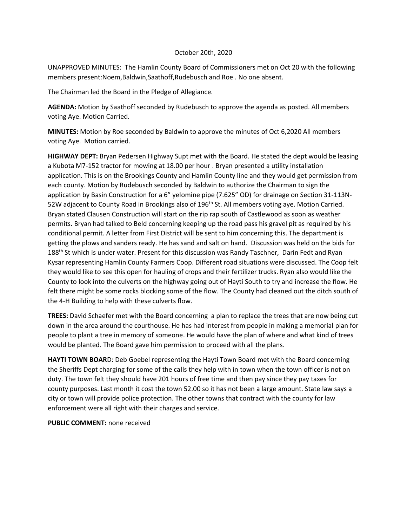### October 20th, 2020

UNAPPROVED MINUTES: The Hamlin County Board of Commissioners met on Oct 20 with the following members present:Noem,Baldwin,Saathoff,Rudebusch and Roe . No one absent.

The Chairman led the Board in the Pledge of Allegiance.

**AGENDA:** Motion by Saathoff seconded by Rudebusch to approve the agenda as posted. All members voting Aye. Motion Carried.

**MINUTES:** Motion by Roe seconded by Baldwin to approve the minutes of Oct 6,2020 All members voting Aye. Motion carried.

**HIGHWAY DEPT:** Bryan Pedersen Highway Supt met with the Board. He stated the dept would be leasing a Kubota M7-152 tractor for mowing at 18.00 per hour . Bryan presented a utility installation application. This is on the Brookings County and Hamlin County line and they would get permission from each county. Motion by Rudebusch seconded by Baldwin to authorize the Chairman to sign the application by Basin Construction for a 6" yelomine pipe (7.625" OD) for drainage on Section 31-113N-52W adjacent to County Road in Brookings also of 196<sup>th</sup> St. All members voting aye. Motion Carried. Bryan stated Clausen Construction will start on the rip rap south of Castlewood as soon as weather permits. Bryan had talked to Beld concerning keeping up the road pass his gravel pit as required by his conditional permit. A letter from First District will be sent to him concerning this. The department is getting the plows and sanders ready. He has sand and salt on hand. Discussion was held on the bids for 188<sup>th</sup> St which is under water. Present for this discussion was Randy Taschner, Darin Fedt and Ryan Kysar representing Hamlin County Farmers Coop. Different road situations were discussed. The Coop felt they would like to see this open for hauling of crops and their fertilizer trucks. Ryan also would like the County to look into the culverts on the highway going out of Hayti South to try and increase the flow. He felt there might be some rocks blocking some of the flow. The County had cleaned out the ditch south of the 4-H Building to help with these culverts flow.

**TREES:** David Schaefer met with the Board concerning a plan to replace the trees that are now being cut down in the area around the courthouse. He has had interest from people in making a memorial plan for people to plant a tree in memory of someone. He would have the plan of where and what kind of trees would be planted. The Board gave him permission to proceed with all the plans.

**HAYTI TOWN BOAR**D: Deb Goebel representing the Hayti Town Board met with the Board concerning the Sheriffs Dept charging for some of the calls they help with in town when the town officer is not on duty. The town felt they should have 201 hours of free time and then pay since they pay taxes for county purposes. Last month it cost the town 52.00 so it has not been a large amount. State law says a city or town will provide police protection. The other towns that contract with the county for law enforcement were all right with their charges and service.

**PUBLIC COMMENT:** none received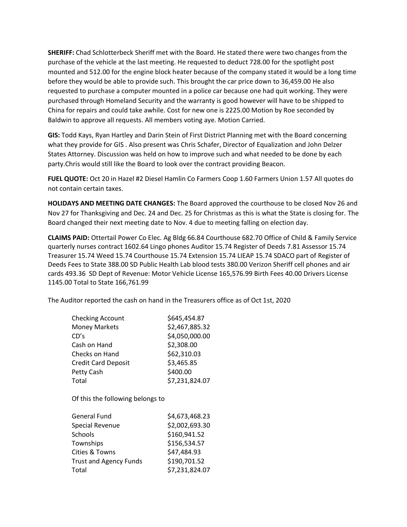**SHERIFF:** Chad Schlotterbeck Sheriff met with the Board. He stated there were two changes from the purchase of the vehicle at the last meeting. He requested to deduct 728.00 for the spotlight post mounted and 512.00 for the engine block heater because of the company stated it would be a long time before they would be able to provide such. This brought the car price down to 36,459.00 He also requested to purchase a computer mounted in a police car because one had quit working. They were purchased through Homeland Security and the warranty is good however will have to be shipped to China for repairs and could take awhile. Cost for new one is 2225.00 Motion by Roe seconded by Baldwin to approve all requests. All members voting aye. Motion Carried.

**GIS:** Todd Kays, Ryan Hartley and Darin Stein of First District Planning met with the Board concerning what they provide for GIS . Also present was Chris Schafer, Director of Equalization and John Delzer States Attorney. Discussion was held on how to improve such and what needed to be done by each party.Chris would still like the Board to look over the contract providing Beacon.

**FUEL QUOTE:** Oct 20 in Hazel #2 Diesel Hamlin Co Farmers Coop 1.60 Farmers Union 1.57 All quotes do not contain certain taxes.

**HOLIDAYS AND MEETING DATE CHANGES:** The Board approved the courthouse to be closed Nov 26 and Nov 27 for Thanksgiving and Dec. 24 and Dec. 25 for Christmas as this is what the State is closing for. The Board changed their next meeting date to Nov. 4 due to meeting falling on election day.

**CLAIMS PAID:** Ottertail Power Co Elec. Ag Bldg 66.84 Courthouse 682.70 Office of Child & Family Service quarterly nurses contract 1602.64 Lingo phones Auditor 15.74 Register of Deeds 7.81 Assessor 15.74 Treasurer 15.74 Weed 15.74 Courthouse 15.74 Extension 15.74 LIEAP 15.74 SDACO part of Register of Deeds Fees to State 388.00 SD Public Health Lab blood tests 380.00 Verizon Sheriff cell phones and air cards 493.36 SD Dept of Revenue: Motor Vehicle License 165,576.99 Birth Fees 40.00 Drivers License 1145.00 Total to State 166,761.99

The Auditor reported the cash on hand in the Treasurers office as of Oct 1st, 2020

| <b>Checking Account</b><br><b>Money Markets</b><br>CD's<br>Cash on Hand<br>Checks on Hand<br><b>Credit Card Deposit</b><br>Petty Cash<br>Total | \$645,454.87<br>\$2,467,885.32<br>\$4,050,000.00<br>\$2,308.00<br>\$62,310.03<br>\$3,465.85<br>\$400.00<br>\$7,231,824.07 |  |
|------------------------------------------------------------------------------------------------------------------------------------------------|---------------------------------------------------------------------------------------------------------------------------|--|
| Of this the following belongs to                                                                                                               |                                                                                                                           |  |
| <b>General Fund</b>                                                                                                                            | \$4,673,468.23                                                                                                            |  |
| <b>Special Revenue</b>                                                                                                                         | \$2,002,693.30                                                                                                            |  |
| Schools                                                                                                                                        | \$160,941.52                                                                                                              |  |
| Townships                                                                                                                                      | \$156,534.57                                                                                                              |  |
| Cities & Towns                                                                                                                                 | \$47,484.93                                                                                                               |  |
| <b>Trust and Agency Funds</b>                                                                                                                  | \$190,701.52                                                                                                              |  |
| Total                                                                                                                                          | \$7,231,824.07                                                                                                            |  |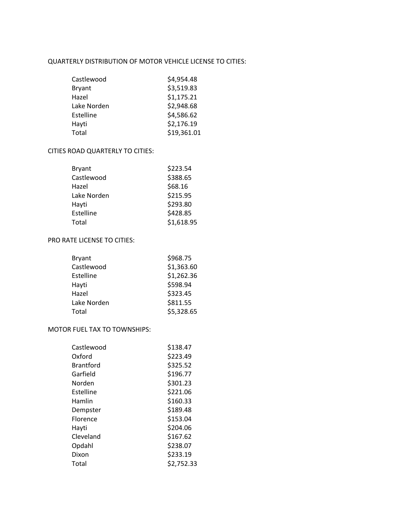#### QUARTERLY DISTRIBUTION OF MOTOR VEHICLE LICENSE TO CITIES:

| Castlewood    | \$4,954.48  |
|---------------|-------------|
| <b>Bryant</b> | \$3,519.83  |
| Hazel         | \$1,175.21  |
| Lake Norden   | \$2,948.68  |
| Estelline     | \$4,586.62  |
| Hayti         | \$2,176.19  |
| Total         | \$19,361.01 |

## CITIES ROAD QUARTERLY TO CITIES:

| Bryant      | \$223.54   |
|-------------|------------|
| Castlewood  | \$388.65   |
| Hazel       | \$68.16    |
| Lake Norden | \$215.95   |
| Hayti       | \$293.80   |
| Estelline   | \$428.85   |
| Total       | \$1,618.95 |

# PRO RATE LICENSE TO CITIES:

| <b>Bryant</b> | \$968.75   |
|---------------|------------|
| Castlewood    | \$1,363.60 |
| Estelline     | \$1,262.36 |
| Hayti         | \$598.94   |
| Hazel         | \$323.45   |
| Lake Norden   | \$811.55   |
| Total         | \$5,328.65 |

# MOTOR FUEL TAX TO TOWNSHIPS:

| Castlewood       | \$138.47   |
|------------------|------------|
| Oxford           | \$223.49   |
| <b>Brantford</b> | \$325.52   |
| Garfield         | \$196.77   |
| Norden           | \$301.23   |
| Estelline        | \$221.06   |
| Hamlin           | \$160.33   |
| Dempster         | \$189.48   |
| <b>Florence</b>  | \$153.04   |
| Havti            | \$204.06   |
| Cleveland        | \$167.62   |
| Opdahl           | \$238.07   |
| Dixon            | \$233.19   |
| Total            | \$2,752.33 |